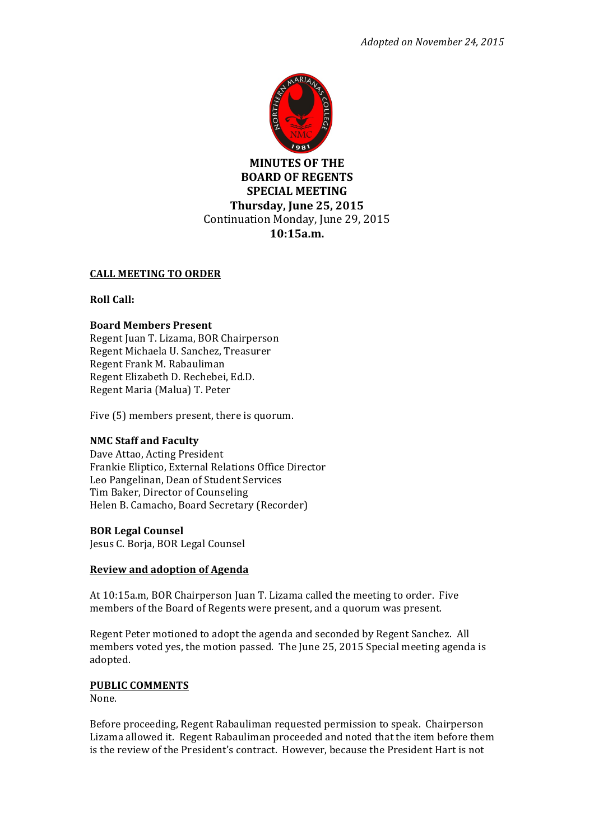

**MINUTES OF THE BOARD OF REGENTS SPECIAL MEETING Thursday, June 25, 2015** Continuation Monday, June 29, 2015 **10:15a.m.(**

# **CALL MEETING TO ORDER**

### **Roll Call:**

### **Board(Members Present**

Regent Juan T. Lizama, BOR Chairperson Regent Michaela U. Sanchez, Treasurer Regent Frank M. Rabauliman Regent Elizabeth D. Rechebei, Ed.D. Regent Maria (Malua) T. Peter

Five (5) members present, there is quorum.

### **NMC Staff and Faculty**

Dave Attao, Acting President Frankie Eliptico, External Relations Office Director Leo Pangelinan, Dean of Student Services Tim Baker, Director of Counseling Helen B. Camacho, Board Secretary (Recorder)

### **BOR Legal Counsel**

Jesus C. Borja, BOR Legal Counsel

### **Review and adoption of Agenda**

At 10:15a.m, BOR Chairperson Juan T. Lizama called the meeting to order. Five members of the Board of Regents were present, and a quorum was present.

Regent Peter motioned to adopt the agenda and seconded by Regent Sanchez. All members voted yes, the motion passed. The June 25, 2015 Special meeting agenda is adopted.

# **PUBLIC COMMENTS**

None.

Before proceeding, Regent Rabauliman requested permission to speak. Chairperson Lizama allowed it. Regent Rabauliman proceeded and noted that the item before them is the review of the President's contract. However, because the President Hart is not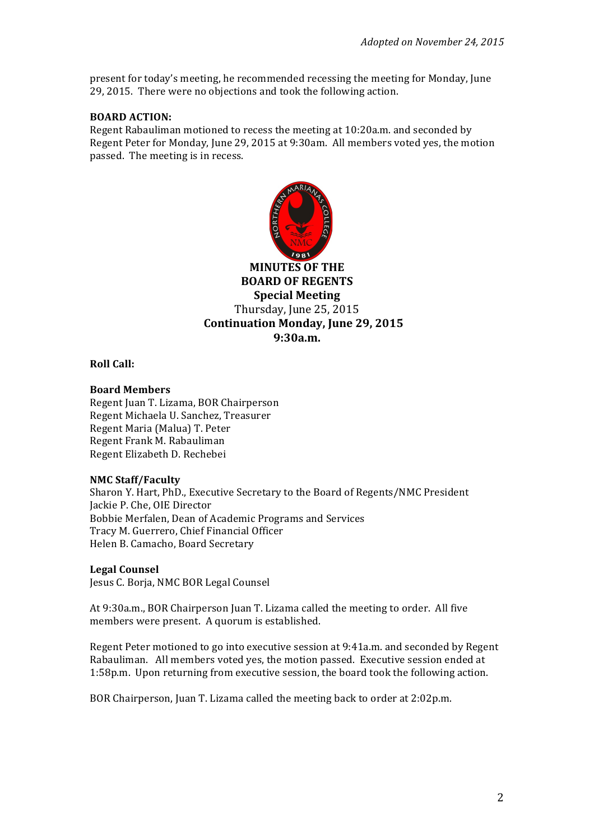present for today's meeting, he recommended recessing the meeting for Monday, June 29, 2015. There were no objections and took the following action.

### **BOARD ACTION:**

Regent Rabauliman motioned to recess the meeting at 10:20a.m. and seconded by Regent Peter for Monday, June 29, 2015 at 9:30am. All members voted yes, the motion passed. The meeting is in recess.



**MINUTES OF THE BOARD OF REGENTS Special Meeting** Thursday, June 25, 2015 **Continuation Monday, June 29, 2015 9:30a.m.**

**Roll Call:** 

# **Board(Members**

Regent Juan T. Lizama, BOR Chairperson Regent Michaela U. Sanchez, Treasurer Regent Maria (Malua) T. Peter Regent Frank M. Rabauliman Regent Elizabeth D. Rechebei

### **NMC(Staff/Faculty**

Sharon Y. Hart, PhD., Executive Secretary to the Board of Regents/NMC President Jackie P. Che, OIE Director Bobbie Merfalen, Dean of Academic Programs and Services Tracy M. Guerrero, Chief Financial Officer Helen B. Camacho, Board Secretary

### **Legal(Counsel**

Jesus C. Borja, NMC BOR Legal Counsel

At 9:30a.m., BOR Chairperson Juan T. Lizama called the meeting to order. All five members were present. A quorum is established.

Regent Peter motioned to go into executive session at 9:41a.m. and seconded by Regent Rabauliman. All members voted yes, the motion passed. Executive session ended at 1:58p.m. Upon returning from executive session, the board took the following action.

BOR Chairperson, Juan T. Lizama called the meeting back to order at 2:02p.m.